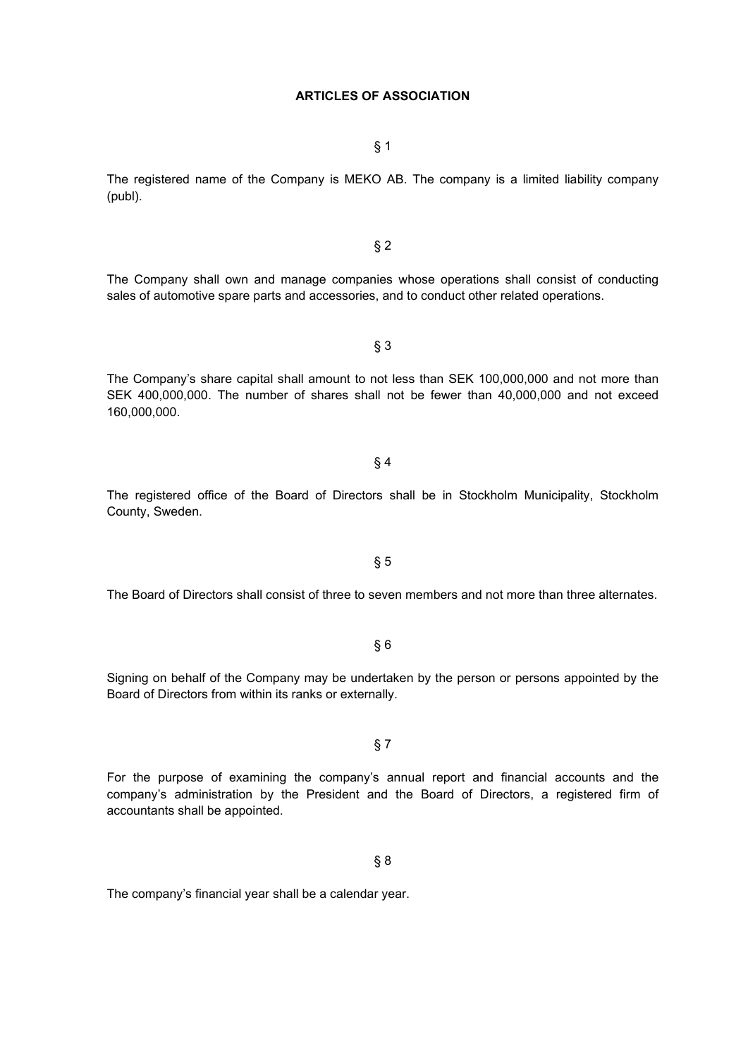# **ARTICLES OF ASSOCIATION**

§ 1

The registered name of the Company is MEKO AB. The company is a limited liability company (publ).

The Company shall own and manage companies whose operations shall consist of conducting sales of automotive spare parts and accessories, and to conduct other related operations.

§ 2

The Company's share capital shall amount to not less than SEK 100,000,000 and not more than SEK 400,000,000. The number of shares shall not be fewer than 40,000,000 and not exceed 160,000,000.

§ 3

The registered office of the Board of Directors shall be in Stockholm Municipality, Stockholm County, Sweden.

§ 4

The Board of Directors shall consist of three to seven members and not more than three alternates.

§ 5

§ 6

Signing on behalf of the Company may be undertaken by the person or persons appointed by the Board of Directors from within its ranks or externally.

For the purpose of examining the company's annual report and financial accounts and the company's administration by the President and the Board of Directors, a registered firm of accountants shall be appointed.

§ 8

The company's financial year shall be a calendar year.

§ 7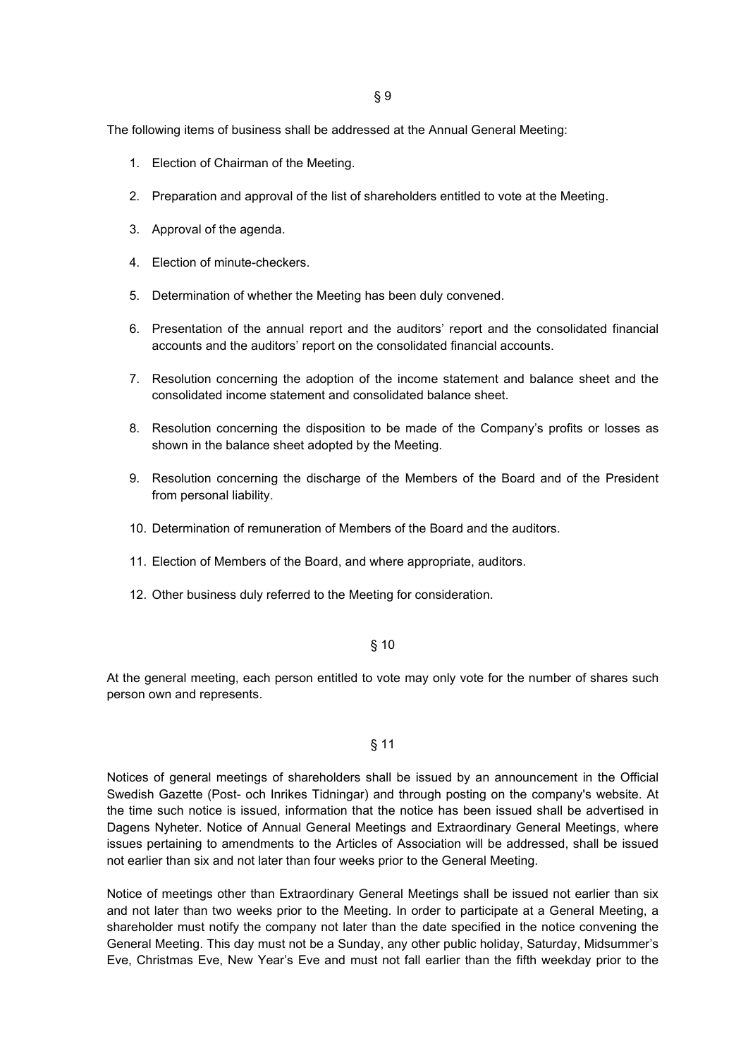The following items of business shall be addressed at the Annual General Meeting:

- 1. Election of Chairman of the Meeting.
- 2. Preparation and approval of the list of shareholders entitled to vote at the Meeting.
- 3. Approval of the agenda.
- 4. Election of minute-checkers.
- 5. Determination of whether the Meeting has been duly convened.
- 6. Presentation of the annual report and the auditors' report and the consolidated financial accounts and the auditors' report on the consolidated financial accounts.
- 7. Resolution concerning the adoption of the income statement and balance sheet and the consolidated income statement and consolidated balance sheet.
- 8. Resolution concerning the disposition to be made of the Company's profits or losses as shown in the balance sheet adopted by the Meeting.
- 9. Resolution concerning the discharge of the Members of the Board and of the President from personal liability.
- 10. Determination of remuneration of Members of the Board and the auditors.
- 11. Election of Members of the Board, and where appropriate, auditors.
- 12. Other business duly referred to the Meeting for consideration.

#### § 10

At the general meeting, each person entitled to vote may only vote for the number of shares such person own and represents.

### § 11

Notices of general meetings of shareholders shall be issued by an announcement in the Official Swedish Gazette (Post- och Inrikes Tidningar) and through posting on the company's website. At the time such notice is issued, information that the notice has been issued shall be advertised in Dagens Nyheter. Notice of Annual General Meetings and Extraordinary General Meetings, where issues pertaining to amendments to the Articles of Association will be addressed, shall be issued not earlier than six and not later than four weeks prior to the General Meeting.

Notice of meetings other than Extraordinary General Meetings shall be issued not earlier than six and not later than two weeks prior to the Meeting. In order to participate at a General Meeting, a shareholder must notify the company not later than the date specified in the notice convening the General Meeting. This day must not be a Sunday, any other public holiday, Saturday, Midsummer's Eve, Christmas Eve, New Year's Eve and must not fall earlier than the fifth weekday prior to the